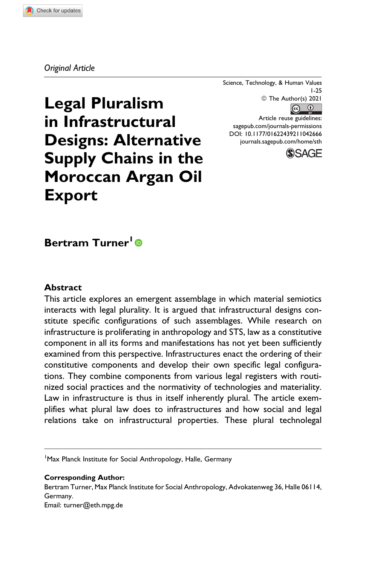#### *Original Article*

Science, Technology, & Human Values 1-25 © The Author(s) 2021

 $\circledcirc$ 

Article reuse guidelines: [sagepub.com/journals-permissions](https://sagepub.com/journals-permissions) [DOI: 10.1177/01622439211042666](https://doi.org/10.1177/01622439211042666) [journals.sagepub.com/home/sth](http://journals.sagepub.com/home/sth)



# **Legal Pluralism in Infrastructural Designs: Alternative Supply Chains in the Moroccan Argan Oil Export**

# **Bertram Turner<sup>1</sup>**

#### **Abstract**

This article explores an emergent assemblage in which material semiotics interacts with legal plurality. It is argued that infrastructural designs constitute specific configurations of such assemblages. While research on infrastructure is proliferating in anthropology and STS, law as a constitutive component in all its forms and manifestations has not yet been sufficiently examined from this perspective. Infrastructures enact the ordering of their constitutive components and develop their own specific legal configurations. They combine components from various legal registers with routinized social practices and the normativity of technologies and materiality. Law in infrastructure is thus in itself inherently plural. The article exemplifies what plural law does to infrastructures and how social and legal relations take on infrastructural properties. These plural technolegal

<sup>1</sup> Max Planck Institute for Social Anthropology, Halle, Germany

#### **Corresponding Author:**

Bertram Turner, Max Planck Institute for Social Anthropology, Advokatenweg 36, Halle 06114, Germany. Email: [turner@eth.mpg.de](mailto:turner@eth.mpg.de)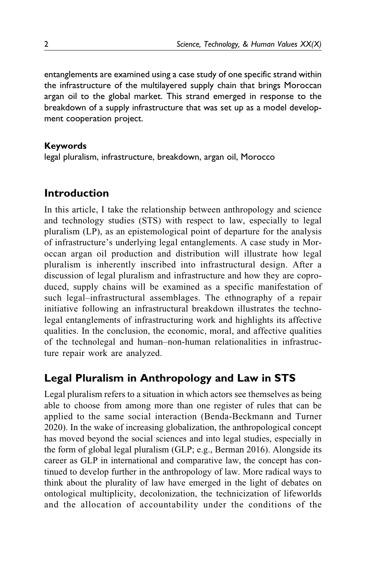entanglements are examined using a case study of one specific strand within the infrastructure of the multilayered supply chain that brings Moroccan argan oil to the global market. This strand emerged in response to the breakdown of a supply infrastructure that was set up as a model development cooperation project.

# **Keywords**

legal pluralism, infrastructure, breakdown, argan oil, Morocco

# **Introduction**

In this article, I take the relationship between anthropology and science and technology studies (STS) with respect to law, especially to legal pluralism (LP), as an epistemological point of departure for the analysis of infrastructure's underlying legal entanglements. A case study in Moroccan argan oil production and distribution will illustrate how legal pluralism is inherently inscribed into infrastructural design. After a discussion of legal pluralism and infrastructure and how they are coproduced, supply chains will be examined as a specific manifestation of such legal–infrastructural assemblages. The ethnography of a repair initiative following an infrastructural breakdown illustrates the technolegal entanglements of infrastructuring work and highlights its affective qualities. In the conclusion, the economic, moral, and affective qualities of the technolegal and human–non-human relationalities in infrastructure repair work are analyzed.

# **Legal Pluralism in Anthropology and Law in STS**

Legal pluralism refers to a situation in which actors see themselves as being able to choose from among more than one register of rules that can be applied to the same social interaction ([Benda-Beckmann and Turner](#page-20-0) [2020\)](#page-20-0). In the wake of increasing globalization, the anthropological concept has moved beyond the social sciences and into legal studies, especially in the form of global legal pluralism (GLP; e.g., [Berman 2016\)](#page-20-0). Alongside its career as GLP in international and comparative law, the concept has continued to develop further in the anthropology of law. More radical ways to think about the plurality of law have emerged in the light of debates on ontological multiplicity, decolonization, the technicization of lifeworlds and the allocation of accountability under the conditions of the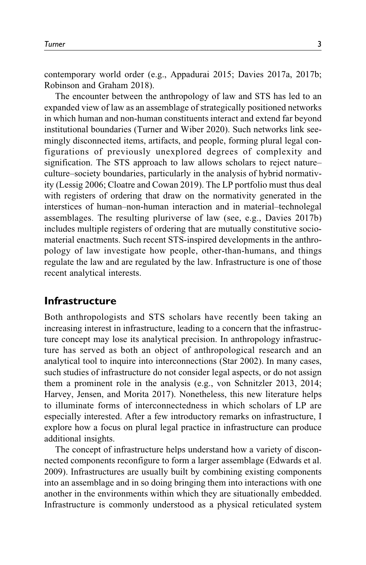contemporary world order (e.g., [Appadurai 2015; Davies 2017a, 2017b](#page-20-0); [Robinson and Graham 2018\)](#page-23-0).

The encounter between the anthropology of law and STS has led to an expanded view of law as an assemblage of strategically positioned networks in which human and non-human constituents interact and extend far beyond institutional boundaries [\(Turner and Wiber 2020](#page-24-0)). Such networks link seemingly disconnected items, artifacts, and people, forming plural legal configurations of previously unexplored degrees of complexity and signification. The STS approach to law allows scholars to reject nature– culture–society boundaries, particularly in the analysis of hybrid normativity ([Lessig 2006;](#page-22-0) [Cloatre and Cowan 2019](#page-20-0)). The LP portfolio must thus deal with registers of ordering that draw on the normativity generated in the interstices of human–non-human interaction and in material–technolegal assemblages. The resulting pluriverse of law (see, e.g., [Davies 2017b\)](#page-20-0) includes multiple registers of ordering that are mutually constitutive sociomaterial enactments. Such recent STS-inspired developments in the anthropology of law investigate how people, other-than-humans, and things regulate the law and are regulated by the law. Infrastructure is one of those recent analytical interests.

#### **Infrastructure**

Both anthropologists and STS scholars have recently been taking an increasing interest in infrastructure, leading to a concern that the infrastructure concept may lose its analytical precision. In anthropology infrastructure has served as both an object of anthropological research and an analytical tool to inquire into interconnections ([Star 2002\)](#page-23-0). In many cases, such studies of infrastructure do not consider legal aspects, or do not assign them a prominent role in the analysis (e.g., [von Schnitzler 2013, 2014](#page-24-0); [Harvey, Jensen, and Morita 2017\)](#page-21-0). Nonetheless, this new literature helps to illuminate forms of interconnectedness in which scholars of LP are especially interested. After a few introductory remarks on infrastructure, I explore how a focus on plural legal practice in infrastructure can produce additional insights.

The concept of infrastructure helps understand how a variety of disconnected components reconfigure to form a larger assemblage ([Edwards et al.](#page-21-0) [2009\)](#page-21-0). Infrastructures are usually built by combining existing components into an assemblage and in so doing bringing them into interactions with one another in the environments within which they are situationally embedded. Infrastructure is commonly understood as a physical reticulated system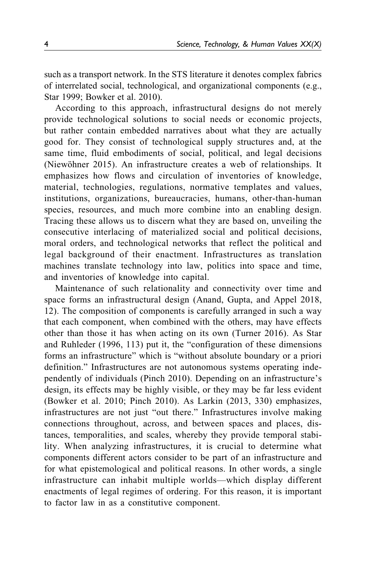such as a transport network. In the STS literature it denotes complex fabrics of interrelated social, technological, and organizational components (e.g., [Star 1999;](#page-23-0) [Bowker et al. 2010](#page-20-0)).

According to this approach, infrastructural designs do not merely provide technological solutions to social needs or economic projects, but rather contain embedded narratives about what they are actually good for. They consist of technological supply structures and, at the same time, fluid embodiments of social, political, and legal decisions (Niewöhner 2015). An infrastructure creates a web of relationships. It emphasizes how flows and circulation of inventories of knowledge, material, technologies, regulations, normative templates and values, institutions, organizations, bureaucracies, humans, other-than-human species, resources, and much more combine into an enabling design. Tracing these allows us to discern what they are based on, unveiling the consecutive interlacing of materialized social and political decisions, moral orders, and technological networks that reflect the political and legal background of their enactment. Infrastructures as translation machines translate technology into law, politics into space and time, and inventories of knowledge into capital.

Maintenance of such relationality and connectivity over time and space forms an infrastructural design [\(Anand, Gupta, and Appel 2018,](#page-19-0) 12). The composition of components is carefully arranged in such a way that each component, when combined with the others, may have effects other than those it has when acting on its own ([Turner 2016\)](#page-23-0). As [Star](#page-23-0) [and Ruhleder \(1996](#page-23-0), 113) put it, the "configuration of these dimensions forms an infrastructure" which is "without absolute boundary or a priori definition." Infrastructures are not autonomous systems operating independently of individuals [\(Pinch 2010](#page-22-0)). Depending on an infrastructure's design, its effects may be highly visible, or they may be far less evident [\(Bowker et al. 2010;](#page-20-0) [Pinch 2010](#page-22-0)). As [Larkin \(2013](#page-22-0), 330) emphasizes, infrastructures are not just "out there." Infrastructures involve making connections throughout, across, and between spaces and places, distances, temporalities, and scales, whereby they provide temporal stability. When analyzing infrastructures, it is crucial to determine what components different actors consider to be part of an infrastructure and for what epistemological and political reasons. In other words, a single infrastructure can inhabit multiple worlds—which display different enactments of legal regimes of ordering. For this reason, it is important to factor law in as a constitutive component.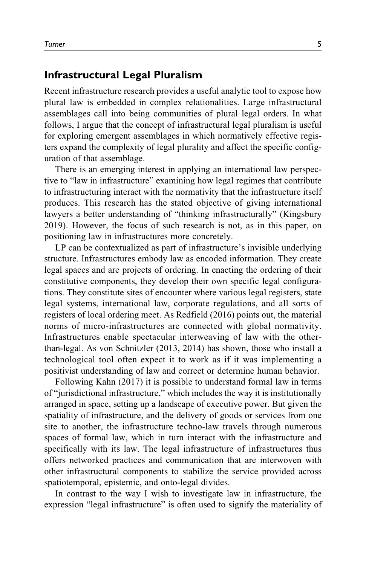# **Infrastructural Legal Pluralism**

Recent infrastructure research provides a useful analytic tool to expose how plural law is embedded in complex relationalities. Large infrastructural assemblages call into being communities of plural legal orders. In what follows, I argue that the concept of infrastructural legal pluralism is useful for exploring emergent assemblages in which normatively effective registers expand the complexity of legal plurality and affect the specific configuration of that assemblage.

There is an emerging interest in applying an international law perspective to "law in infrastructure" examining how legal regimes that contribute to infrastructuring interact with the normativity that the infrastructure itself produces. This research has the stated objective of giving international lawyers a better understanding of "thinking infrastructurally" [\(Kingsbury](#page-22-0) [2019\)](#page-22-0). However, the focus of such research is not, as in this paper, on positioning law in infrastructures more concretely.

LP can be contextualized as part of infrastructure's invisible underlying structure. Infrastructures embody law as encoded information. They create legal spaces and are projects of ordering. In enacting the ordering of their constitutive components, they develop their own specific legal configurations. They constitute sites of encounter where various legal registers, state legal systems, international law, corporate regulations, and all sorts of registers of local ordering meet. As [Redfield \(2016\)](#page-23-0) points out, the material norms of micro-infrastructures are connected with global normativity. Infrastructures enable spectacular interweaving of law with the otherthan-legal. As [von Schnitzler \(2013](#page-24-0), [2014\)](#page-24-0) has shown, those who install a technological tool often expect it to work as if it was implementing a positivist understanding of law and correct or determine human behavior.

Following [Kahn \(2017\)](#page-21-0) it is possible to understand formal law in terms of "jurisdictional infrastructure," which includes the way it is institutionally arranged in space, setting up a landscape of executive power. But given the spatiality of infrastructure, and the delivery of goods or services from one site to another, the infrastructure techno-law travels through numerous spaces of formal law, which in turn interact with the infrastructure and specifically with its law. The legal infrastructure of infrastructures thus offers networked practices and communication that are interwoven with other infrastructural components to stabilize the service provided across spatiotemporal, epistemic, and onto-legal divides.

In contrast to the way I wish to investigate law in infrastructure, the expression "legal infrastructure" is often used to signify the materiality of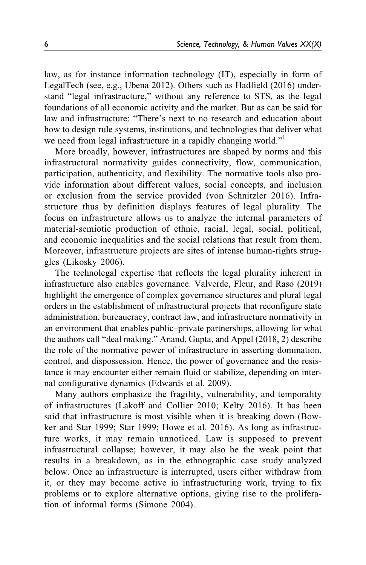law, as for instance information technology (IT), especially in form of LegalTech (see, e.g., [Ubena 2012\)](#page-24-0). Others such as [Hadfield \(2016\)](#page-21-0) understand "legal infrastructure," without any reference to STS, as the legal foundations of all economic activity and the market. But as can be said for law and infrastructure: "There's next to no research and education about how to design rule systems, institutions, and technologies that deliver what we need from legal infrastructure in a rapidly changing world."<sup>[1](#page-19-0)</sup>

More broadly, however, infrastructures are shaped by norms and this infrastructural normativity guides connectivity, flow, communication, participation, authenticity, and flexibility. The normative tools also provide information about different values, social concepts, and inclusion or exclusion from the service provided ([von Schnitzler 2016\)](#page-24-0). Infrastructure thus by definition displays features of legal plurality. The focus on infrastructure allows us to analyze the internal parameters of material-semiotic production of ethnic, racial, legal, social, political, and economic inequalities and the social relations that result from them. Moreover, infrastructure projects are sites of intense human-rights struggles ([Likosky 2006](#page-22-0)).

The technolegal expertise that reflects the legal plurality inherent in infrastructure also enables governance. [Valverde, Fleur, and Raso \(2019\)](#page-24-0) highlight the emergence of complex governance structures and plural legal orders in the establishment of infrastructural projects that reconfigure state administration, bureaucracy, contract law, and infrastructure normativity in an environment that enables public–private partnerships, allowing for what the authors call "deal making." [Anand, Gupta, and Appel \(2018,](#page-19-0) 2) describe the role of the normative power of infrastructure in asserting domination, control, and dispossession. Hence, the power of governance and the resistance it may encounter either remain fluid or stabilize, depending on internal configurative dynamics ([Edwards et al. 2009\)](#page-21-0).

Many authors emphasize the fragility, vulnerability, and temporality of infrastructures [\(Lakoff and Collier 2010;](#page-22-0) [Kelty 2016](#page-21-0)). It has been said that infrastructure is most visible when it is breaking down ([Bow](#page-20-0)[ker and Star 1999;](#page-20-0) [Star 1999](#page-23-0); [Howe et al. 2016\)](#page-21-0). As long as infrastructure works, it may remain unnoticed. Law is supposed to prevent infrastructural collapse; however, it may also be the weak point that results in a breakdown, as in the ethnographic case study analyzed below. Once an infrastructure is interrupted, users either withdraw from it, or they may become active in infrastructuring work, trying to fix problems or to explore alternative options, giving rise to the proliferation of informal forms [\(Simone 2004\)](#page-23-0).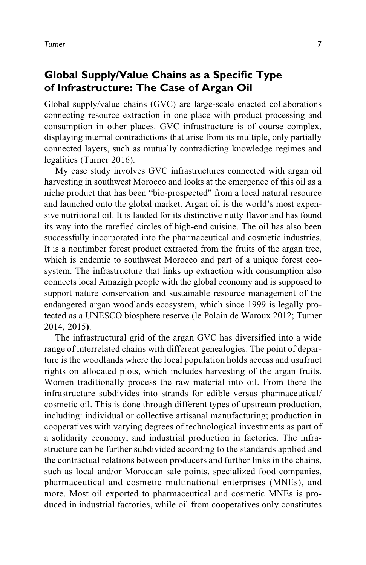# **Global Supply/Value Chains as a Specific Type of Infrastructure: The Case of Argan Oil**

Global supply/value chains (GVC) are large-scale enacted collaborations connecting resource extraction in one place with product processing and consumption in other places. GVC infrastructure is of course complex, displaying internal contradictions that arise from its multiple, only partially connected layers, such as mutually contradicting knowledge regimes and legalities [\(Turner 2016](#page-23-0)).

My case study involves GVC infrastructures connected with argan oil harvesting in southwest Morocco and looks at the emergence of this oil as a niche product that has been "bio-prospected" from a local natural resource and launched onto the global market. Argan oil is the world's most expensive nutritional oil. It is lauded for its distinctive nutty flavor and has found its way into the rarefied circles of high-end cuisine. The oil has also been successfully incorporated into the pharmaceutical and cosmetic industries. It is a nontimber forest product extracted from the fruits of the argan tree, which is endemic to southwest Morocco and part of a unique forest ecosystem. The infrastructure that links up extraction with consumption also connects local Amazigh people with the global economy and is supposed to support nature conservation and sustainable resource management of the endangered argan woodlands ecosystem, which since 1999 is legally protected as a UNESCO biosphere reserve [\(le Polain de Waroux 2012;](#page-22-0) [Turner](#page-23-0) [2014, 2015](#page-23-0)).

The infrastructural grid of the argan GVC has diversified into a wide range of interrelated chains with different genealogies. The point of departure is the woodlands where the local population holds access and usufruct rights on allocated plots, which includes harvesting of the argan fruits. Women traditionally process the raw material into oil. From there the infrastructure subdivides into strands for edible versus pharmaceutical/ cosmetic oil. This is done through different types of upstream production, including: individual or collective artisanal manufacturing; production in cooperatives with varying degrees of technological investments as part of a solidarity economy; and industrial production in factories. The infrastructure can be further subdivided according to the standards applied and the contractual relations between producers and further links in the chains, such as local and/or Moroccan sale points, specialized food companies, pharmaceutical and cosmetic multinational enterprises (MNEs), and more. Most oil exported to pharmaceutical and cosmetic MNEs is produced in industrial factories, while oil from cooperatives only constitutes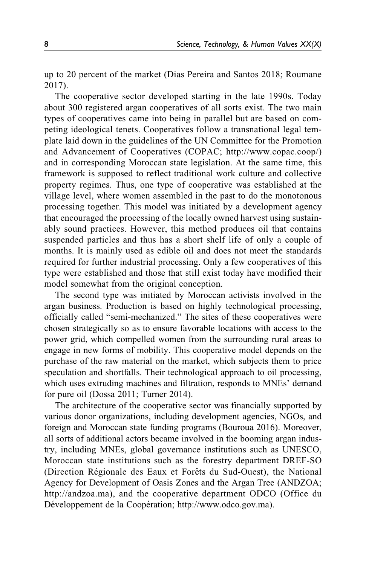up to 20 percent of the market ([Dias Pereira and Santos 2018](#page-21-0); [Roumane](#page-23-0) [2017](#page-23-0)).

The cooperative sector developed starting in the late 1990s. Today about 300 registered argan cooperatives of all sorts exist. The two main types of cooperatives came into being in parallel but are based on competing ideological tenets. Cooperatives follow a transnational legal template laid down in the guidelines of the UN Committee for the Promotion and Advancement of Cooperatives (COPAC; [http://www.copac.coop/](http://www.copac.coop)) and in corresponding Moroccan state legislation. At the same time, this framework is supposed to reflect traditional work culture and collective property regimes. Thus, one type of cooperative was established at the village level, where women assembled in the past to do the monotonous processing together. This model was initiated by a development agency that encouraged the processing of the locally owned harvest using sustainably sound practices. However, this method produces oil that contains suspended particles and thus has a short shelf life of only a couple of months. It is mainly used as edible oil and does not meet the standards required for further industrial processing. Only a few cooperatives of this type were established and those that still exist today have modified their model somewhat from the original conception.

The second type was initiated by Moroccan activists involved in the argan business. Production is based on highly technological processing, officially called "semi-mechanized." The sites of these cooperatives were chosen strategically so as to ensure favorable locations with access to the power grid, which compelled women from the surrounding rural areas to engage in new forms of mobility. This cooperative model depends on the purchase of the raw material on the market, which subjects them to price speculation and shortfalls. Their technological approach to oil processing, which uses extruding machines and filtration, responds to MNEs' demand for pure oil [\(Dossa 2011](#page-21-0); [Turner 2014](#page-23-0)).

The architecture of the cooperative sector was financially supported by various donor organizations, including development agencies, NGOs, and foreign and Moroccan state funding programs [\(Bouroua 2016\)](#page-20-0). Moreover, all sorts of additional actors became involved in the booming argan industry, including MNEs, global governance institutions such as UNESCO, Moroccan state institutions such as the forestry department DREF-SO (Direction Régionale des Eaux et Forêts du Sud-Ouest), the National Agency for Development of Oasis Zones and the Argan Tree (ANDZOA; <http://andzoa.ma>), and the cooperative department ODCO (Office du Développement de la Coopération; [http://www.odco.gov.ma\)](http://www.odco.gov.ma).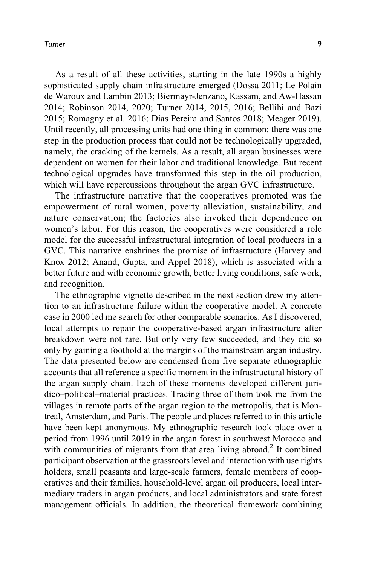As a result of all these activities, starting in the late 1990s a highly sophisticated supply chain infrastructure emerged ([Dossa 2011;](#page-21-0) [Le Polain](#page-22-0) [de Waroux and Lambin 2013;](#page-22-0) [Biermayr-Jenzano, Kassam, and Aw-Hassan](#page-20-0) [2014;](#page-20-0) [Robinson 2014, 2020; Turner 2014, 2015](#page-23-0), [2016](#page-23-0); [Bellihi and Bazi](#page-20-0) [2015;](#page-20-0) [Romagny et al. 2016](#page-23-0); [Dias Pereira and Santos 2018](#page-21-0); [Meager 2019](#page-22-0)). Until recently, all processing units had one thing in common: there was one step in the production process that could not be technologically upgraded, namely, the cracking of the kernels. As a result, all argan businesses were dependent on women for their labor and traditional knowledge. But recent technological upgrades have transformed this step in the oil production, which will have repercussions throughout the argan GVC infrastructure.

The infrastructure narrative that the cooperatives promoted was the empowerment of rural women, poverty alleviation, sustainability, and nature conservation; the factories also invoked their dependence on women's labor. For this reason, the cooperatives were considered a role model for the successful infrastructural integration of local producers in a GVC. This narrative enshrines the promise of infrastructure ([Harvey and](#page-21-0) [Knox 2012;](#page-21-0) [Anand, Gupta, and Appel 2018\)](#page-19-0), which is associated with a better future and with economic growth, better living conditions, safe work, and recognition.

The ethnographic vignette described in the next section drew my attention to an infrastructure failure within the cooperative model. A concrete case in 2000 led me search for other comparable scenarios. As I discovered, local attempts to repair the cooperative-based argan infrastructure after breakdown were not rare. But only very few succeeded, and they did so only by gaining a foothold at the margins of the mainstream argan industry. The data presented below are condensed from five separate ethnographic accounts that all reference a specific moment in the infrastructural history of the argan supply chain. Each of these moments developed different juridico–political–material practices. Tracing three of them took me from the villages in remote parts of the argan region to the metropolis, that is Montreal, Amsterdam, and Paris. The people and places referred to in this article have been kept anonymous. My ethnographic research took place over a period from 1996 until 2019 in the argan forest in southwest Morocco and with communities of migrants from that area living abroad.<sup>2</sup> It combined participant observation at the grassroots level and interaction with use rights holders, small peasants and large-scale farmers, female members of cooperatives and their families, household-level argan oil producers, local intermediary traders in argan products, and local administrators and state forest management officials. In addition, the theoretical framework combining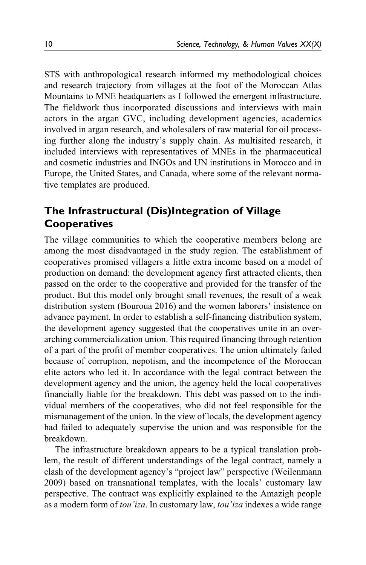STS with anthropological research informed my methodological choices and research trajectory from villages at the foot of the Moroccan Atlas Mountains to MNE headquarters as I followed the emergent infrastructure. The fieldwork thus incorporated discussions and interviews with main actors in the argan GVC, including development agencies, academics involved in argan research, and wholesalers of raw material for oil processing further along the industry's supply chain. As multisited research, it included interviews with representatives of MNEs in the pharmaceutical and cosmetic industries and INGOs and UN institutions in Morocco and in Europe, the United States, and Canada, where some of the relevant normative templates are produced.

# **The Infrastructural (Dis)Integration of Village Cooperatives**

The village communities to which the cooperative members belong are among the most disadvantaged in the study region. The establishment of cooperatives promised villagers a little extra income based on a model of production on demand: the development agency first attracted clients, then passed on the order to the cooperative and provided for the transfer of the product. But this model only brought small revenues, the result of a weak distribution system [\(Bouroua 2016](#page-20-0)) and the women laborers' insistence on advance payment. In order to establish a self-financing distribution system, the development agency suggested that the cooperatives unite in an overarching commercialization union. This required financing through retention of a part of the profit of member cooperatives. The union ultimately failed because of corruption, nepotism, and the incompetence of the Moroccan elite actors who led it. In accordance with the legal contract between the development agency and the union, the agency held the local cooperatives financially liable for the breakdown. This debt was passed on to the individual members of the cooperatives, who did not feel responsible for the mismanagement of the union. In the view of locals, the development agency had failed to adequately supervise the union and was responsible for the breakdown.

The infrastructure breakdown appears to be a typical translation problem, the result of different understandings of the legal contract, namely a clash of the development agency's "project law" perspective [\(Weilenmann](#page-24-0) [2009\)](#page-24-0) based on transnational templates, with the locals' customary law perspective. The contract was explicitly explained to the Amazigh people as a modern form of tou'iza. In customary law, tou'iza indexes a wide range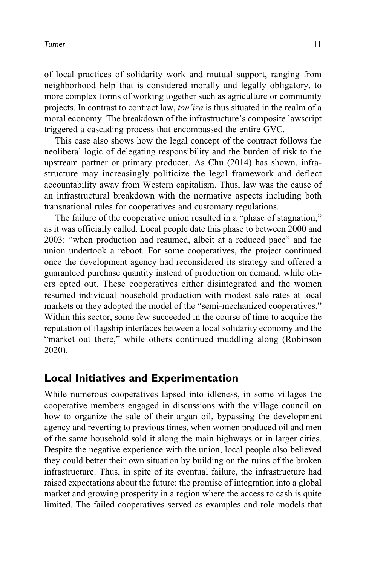of local practices of solidarity work and mutual support, ranging from neighborhood help that is considered morally and legally obligatory, to more complex forms of working together such as agriculture or community projects. In contrast to contract law, tou'iza is thus situated in the realm of a moral economy. The breakdown of the infrastructure's composite lawscript triggered a cascading process that encompassed the entire GVC.

This case also shows how the legal concept of the contract follows the neoliberal logic of delegating responsibility and the burden of risk to the upstream partner or primary producer. As [Chu \(2014\)](#page-20-0) has shown, infrastructure may increasingly politicize the legal framework and deflect accountability away from Western capitalism. Thus, law was the cause of an infrastructural breakdown with the normative aspects including both transnational rules for cooperatives and customary regulations.

The failure of the cooperative union resulted in a "phase of stagnation," as it was officially called. Local people date this phase to between 2000 and 2003: "when production had resumed, albeit at a reduced pace" and the union undertook a reboot. For some cooperatives, the project continued once the development agency had reconsidered its strategy and offered a guaranteed purchase quantity instead of production on demand, while others opted out. These cooperatives either disintegrated and the women resumed individual household production with modest sale rates at local markets or they adopted the model of the "semi-mechanized cooperatives." Within this sector, some few succeeded in the course of time to acquire the reputation of flagship interfaces between a local solidarity economy and the "market out there," while others continued muddling along ([Robinson](#page-23-0) [2020\)](#page-23-0).

# **Local Initiatives and Experimentation**

While numerous cooperatives lapsed into idleness, in some villages the cooperative members engaged in discussions with the village council on how to organize the sale of their argan oil, bypassing the development agency and reverting to previous times, when women produced oil and men of the same household sold it along the main highways or in larger cities. Despite the negative experience with the union, local people also believed they could better their own situation by building on the ruins of the broken infrastructure. Thus, in spite of its eventual failure, the infrastructure had raised expectations about the future: the promise of integration into a global market and growing prosperity in a region where the access to cash is quite limited. The failed cooperatives served as examples and role models that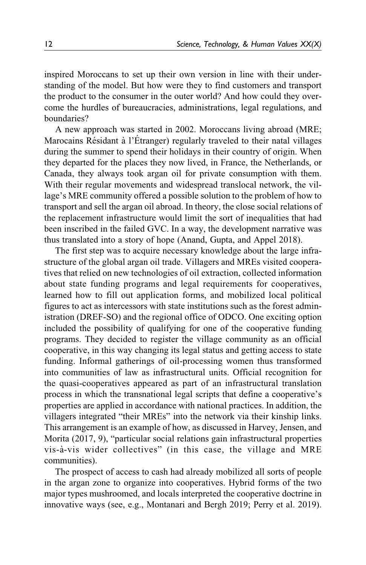inspired Moroccans to set up their own version in line with their understanding of the model. But how were they to find customers and transport the product to the consumer in the outer world? And how could they overcome the hurdles of bureaucracies, administrations, legal regulations, and boundaries?

A new approach was started in 2002. Moroccans living abroad (MRE; Marocains Résidant à l'Étranger) regularly traveled to their natal villages during the summer to spend their holidays in their country of origin. When they departed for the places they now lived, in France, the Netherlands, or Canada, they always took argan oil for private consumption with them. With their regular movements and widespread translocal network, the village's MRE community offered a possible solution to the problem of how to transport and sell the argan oil abroad. In theory, the close social relations of the replacement infrastructure would limit the sort of inequalities that had been inscribed in the failed GVC. In a way, the development narrative was thus translated into a story of hope [\(Anand, Gupta, and Appel 2018\)](#page-19-0).

The first step was to acquire necessary knowledge about the large infrastructure of the global argan oil trade. Villagers and MREs visited cooperatives that relied on new technologies of oil extraction, collected information about state funding programs and legal requirements for cooperatives, learned how to fill out application forms, and mobilized local political figures to act as intercessors with state institutions such as the forest administration (DREF-SO) and the regional office of ODCO. One exciting option included the possibility of qualifying for one of the cooperative funding programs. They decided to register the village community as an official cooperative, in this way changing its legal status and getting access to state funding. Informal gatherings of oil-processing women thus transformed into communities of law as infrastructural units. Official recognition for the quasi-cooperatives appeared as part of an infrastructural translation process in which the transnational legal scripts that define a cooperative's properties are applied in accordance with national practices. In addition, the villagers integrated "their MREs" into the network via their kinship links. This arrangement is an example of how, as discussed in [Harvey, Jensen, and](#page-21-0) [Morita \(2017](#page-21-0), 9), "particular social relations gain infrastructural properties vis-à-vis wider collectives" (in this case, the village and MRE communities).

The prospect of access to cash had already mobilized all sorts of people in the argan zone to organize into cooperatives. Hybrid forms of the two major types mushroomed, and locals interpreted the cooperative doctrine in innovative ways (see, e.g., [Montanari and Bergh 2019](#page-22-0); [Perry et al. 2019](#page-22-0)).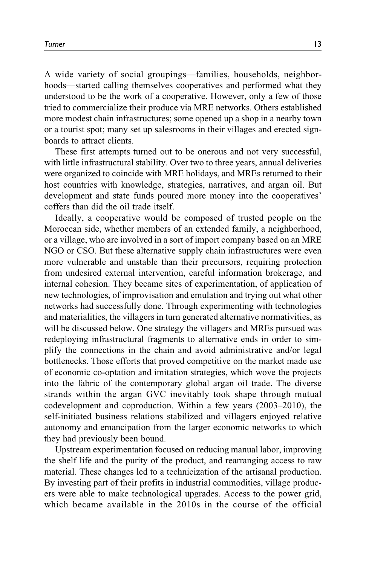A wide variety of social groupings—families, households, neighborhoods—started calling themselves cooperatives and performed what they understood to be the work of a cooperative. However, only a few of those tried to commercialize their produce via MRE networks. Others established more modest chain infrastructures; some opened up a shop in a nearby town or a tourist spot; many set up salesrooms in their villages and erected signboards to attract clients.

These first attempts turned out to be onerous and not very successful, with little infrastructural stability. Over two to three years, annual deliveries were organized to coincide with MRE holidays, and MREs returned to their host countries with knowledge, strategies, narratives, and argan oil. But development and state funds poured more money into the cooperatives' coffers than did the oil trade itself.

Ideally, a cooperative would be composed of trusted people on the Moroccan side, whether members of an extended family, a neighborhood, or a village, who are involved in a sort of import company based on an MRE NGO or CSO. But these alternative supply chain infrastructures were even more vulnerable and unstable than their precursors, requiring protection from undesired external intervention, careful information brokerage, and internal cohesion. They became sites of experimentation, of application of new technologies, of improvisation and emulation and trying out what other networks had successfully done. Through experimenting with technologies and materialities, the villagers in turn generated alternative normativities, as will be discussed below. One strategy the villagers and MREs pursued was redeploying infrastructural fragments to alternative ends in order to simplify the connections in the chain and avoid administrative and/or legal bottlenecks. Those efforts that proved competitive on the market made use of economic co-optation and imitation strategies, which wove the projects into the fabric of the contemporary global argan oil trade. The diverse strands within the argan GVC inevitably took shape through mutual codevelopment and coproduction. Within a few years (2003–2010), the self-initiated business relations stabilized and villagers enjoyed relative autonomy and emancipation from the larger economic networks to which they had previously been bound.

Upstream experimentation focused on reducing manual labor, improving the shelf life and the purity of the product, and rearranging access to raw material. These changes led to a technicization of the artisanal production. By investing part of their profits in industrial commodities, village producers were able to make technological upgrades. Access to the power grid, which became available in the 2010s in the course of the official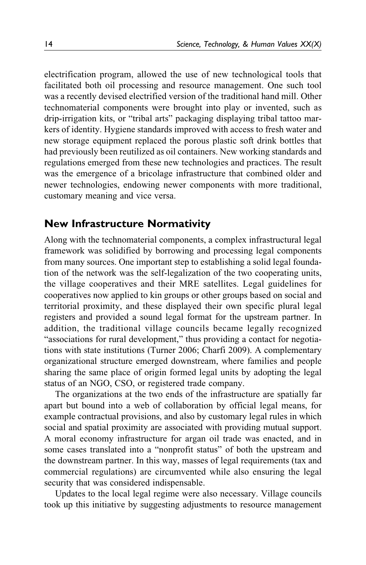electrification program, allowed the use of new technological tools that facilitated both oil processing and resource management. One such tool was a recently devised electrified version of the traditional hand mill. Other technomaterial components were brought into play or invented, such as drip-irrigation kits, or "tribal arts" packaging displaying tribal tattoo markers of identity. Hygiene standards improved with access to fresh water and new storage equipment replaced the porous plastic soft drink bottles that had previously been reutilized as oil containers. New working standards and regulations emerged from these new technologies and practices. The result was the emergence of a bricolage infrastructure that combined older and newer technologies, endowing newer components with more traditional, customary meaning and vice versa.

# **New Infrastructure Normativity**

Along with the technomaterial components, a complex infrastructural legal framework was solidified by borrowing and processing legal components from many sources. One important step to establishing a solid legal foundation of the network was the self-legalization of the two cooperating units, the village cooperatives and their MRE satellites. Legal guidelines for cooperatives now applied to kin groups or other groups based on social and territorial proximity, and these displayed their own specific plural legal registers and provided a sound legal format for the upstream partner. In addition, the traditional village councils became legally recognized "associations for rural development," thus providing a contact for negotiations with state institutions ([Turner 2006;](#page-23-0) [Charfi 2009](#page-20-0)). A complementary organizational structure emerged downstream, where families and people sharing the same place of origin formed legal units by adopting the legal status of an NGO, CSO, or registered trade company.

The organizations at the two ends of the infrastructure are spatially far apart but bound into a web of collaboration by official legal means, for example contractual provisions, and also by customary legal rules in which social and spatial proximity are associated with providing mutual support. A moral economy infrastructure for argan oil trade was enacted, and in some cases translated into a "nonprofit status" of both the upstream and the downstream partner. In this way, masses of legal requirements (tax and commercial regulations) are circumvented while also ensuring the legal security that was considered indispensable.

Updates to the local legal regime were also necessary. Village councils took up this initiative by suggesting adjustments to resource management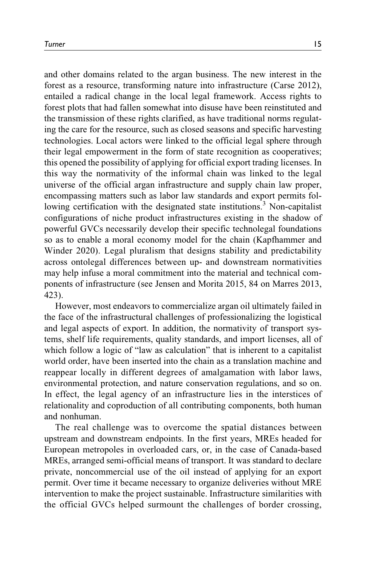and other domains related to the argan business. The new interest in the forest as a resource, transforming nature into infrastructure [\(Carse 2012](#page-20-0)), entailed a radical change in the local legal framework. Access rights to forest plots that had fallen somewhat into disuse have been reinstituted and the transmission of these rights clarified, as have traditional norms regulating the care for the resource, such as closed seasons and specific harvesting technologies. Local actors were linked to the official legal sphere through their legal empowerment in the form of state recognition as cooperatives; this opened the possibility of applying for official export trading licenses. In this way the normativity of the informal chain was linked to the legal universe of the official argan infrastructure and supply chain law proper, encompassing matters such as labor law standards and export permits following certification with the designated state institutions.<sup>3</sup> Non-capitalist configurations of niche product infrastructures existing in the shadow of powerful GVCs necessarily develop their specific technolegal foundations so as to enable a moral economy model for the chain [\(Kapfhammer and](#page-21-0) [Winder 2020\)](#page-21-0). Legal pluralism that designs stability and predictability across ontolegal differences between up- and downstream normativities may help infuse a moral commitment into the material and technical components of infrastructure (see [Jensen and Morita 2015](#page-21-0), 84 on [Marres 2013,](#page-22-0) 423).

However, most endeavors to commercialize argan oil ultimately failed in the face of the infrastructural challenges of professionalizing the logistical and legal aspects of export. In addition, the normativity of transport systems, shelf life requirements, quality standards, and import licenses, all of which follow a logic of "law as calculation" that is inherent to a capitalist world order, have been inserted into the chain as a translation machine and reappear locally in different degrees of amalgamation with labor laws, environmental protection, and nature conservation regulations, and so on. In effect, the legal agency of an infrastructure lies in the interstices of relationality and coproduction of all contributing components, both human and nonhuman.

The real challenge was to overcome the spatial distances between upstream and downstream endpoints. In the first years, MREs headed for European metropoles in overloaded cars, or, in the case of Canada-based MREs, arranged semi-official means of transport. It was standard to declare private, noncommercial use of the oil instead of applying for an export permit. Over time it became necessary to organize deliveries without MRE intervention to make the project sustainable. Infrastructure similarities with the official GVCs helped surmount the challenges of border crossing,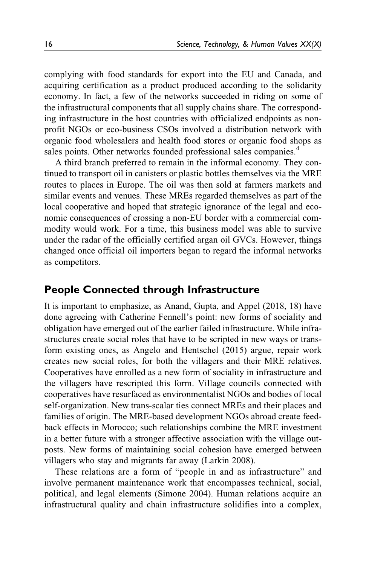complying with food standards for export into the EU and Canada, and acquiring certification as a product produced according to the solidarity economy. In fact, a few of the networks succeeded in riding on some of the infrastructural components that all supply chains share. The corresponding infrastructure in the host countries with officialized endpoints as nonprofit NGOs or eco-business CSOs involved a distribution network with organic food wholesalers and health food stores or organic food shops as sales points. Other networks founded professional sales companies.<sup>[4](#page-19-0)</sup>

A third branch preferred to remain in the informal economy. They continued to transport oil in canisters or plastic bottles themselves via the MRE routes to places in Europe. The oil was then sold at farmers markets and similar events and venues. These MREs regarded themselves as part of the local cooperative and hoped that strategic ignorance of the legal and economic consequences of crossing a non-EU border with a commercial commodity would work. For a time, this business model was able to survive under the radar of the officially certified argan oil GVCs. However, things changed once official oil importers began to regard the informal networks as competitors.

# **People Connected through Infrastructure**

It is important to emphasize, as [Anand, Gupta, and Appel \(2018,](#page-19-0) 18) have done agreeing with Catherine Fennell's point: new forms of sociality and obligation have emerged out of the earlier failed infrastructure. While infrastructures create social roles that have to be scripted in new ways or transform existing ones, as [Angelo and Hentschel \(2015\)](#page-20-0) argue, repair work creates new social roles, for both the villagers and their MRE relatives. Cooperatives have enrolled as a new form of sociality in infrastructure and the villagers have rescripted this form. Village councils connected with cooperatives have resurfaced as environmentalist NGOs and bodies of local self-organization. New trans-scalar ties connect MREs and their places and families of origin. The MRE-based development NGOs abroad create feedback effects in Morocco; such relationships combine the MRE investment in a better future with a stronger affective association with the village outposts. New forms of maintaining social cohesion have emerged between villagers who stay and migrants far away [\(Larkin 2008\)](#page-22-0).

These relations are a form of "people in and as infrastructure" and involve permanent maintenance work that encompasses technical, social, political, and legal elements ([Simone 2004\)](#page-23-0). Human relations acquire an infrastructural quality and chain infrastructure solidifies into a complex,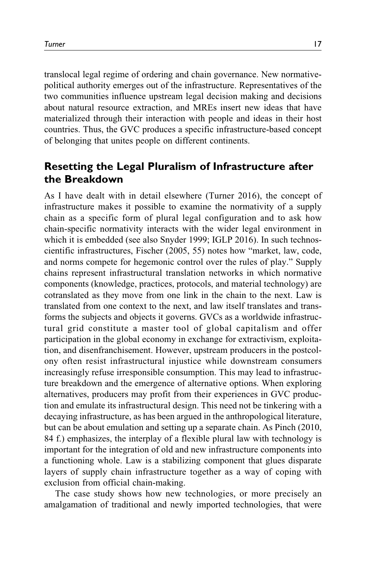translocal legal regime of ordering and chain governance. New normativepolitical authority emerges out of the infrastructure. Representatives of the two communities influence upstream legal decision making and decisions about natural resource extraction, and MREs insert new ideas that have materialized through their interaction with people and ideas in their host countries. Thus, the GVC produces a specific infrastructure-based concept of belonging that unites people on different continents.

# **Resetting the Legal Pluralism of Infrastructure after the Breakdown**

As I have dealt with in detail elsewhere ([Turner 2016\)](#page-23-0), the concept of infrastructure makes it possible to examine the normativity of a supply chain as a specific form of plural legal configuration and to ask how chain-specific normativity interacts with the wider legal environment in which it is embedded (see also [Snyder 1999](#page-23-0); [IGLP 2016](#page-21-0)). In such technoscientific infrastructures, [Fischer \(2005,](#page-21-0) 55) notes how "market, law, code, and norms compete for hegemonic control over the rules of play." Supply chains represent infrastructural translation networks in which normative components (knowledge, practices, protocols, and material technology) are cotranslated as they move from one link in the chain to the next. Law is translated from one context to the next, and law itself translates and transforms the subjects and objects it governs. GVCs as a worldwide infrastructural grid constitute a master tool of global capitalism and offer participation in the global economy in exchange for extractivism, exploitation, and disenfranchisement. However, upstream producers in the postcolony often resist infrastructural injustice while downstream consumers increasingly refuse irresponsible consumption. This may lead to infrastructure breakdown and the emergence of alternative options. When exploring alternatives, producers may profit from their experiences in GVC production and emulate its infrastructural design. This need not be tinkering with a decaying infrastructure, as has been argued in the anthropological literature, but can be about emulation and setting up a separate chain. As [Pinch \(2010,](#page-22-0) 84 f.) emphasizes, the interplay of a flexible plural law with technology is important for the integration of old and new infrastructure components into a functioning whole. Law is a stabilizing component that glues disparate layers of supply chain infrastructure together as a way of coping with exclusion from official chain-making.

The case study shows how new technologies, or more precisely an amalgamation of traditional and newly imported technologies, that were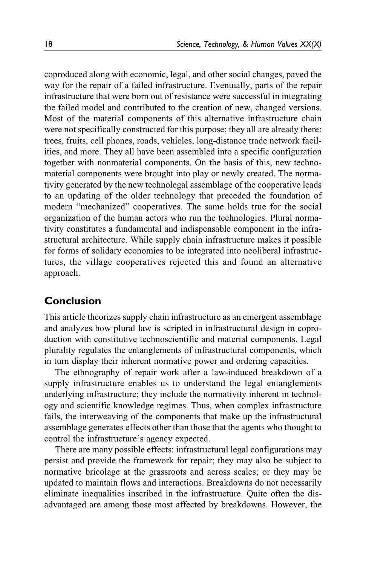coproduced along with economic, legal, and other social changes, paved the way for the repair of a failed infrastructure. Eventually, parts of the repair infrastructure that were born out of resistance were successful in integrating the failed model and contributed to the creation of new, changed versions. Most of the material components of this alternative infrastructure chain were not specifically constructed for this purpose; they all are already there: trees, fruits, cell phones, roads, vehicles, long-distance trade network facilities, and more. They all have been assembled into a specific configuration together with nonmaterial components. On the basis of this, new technomaterial components were brought into play or newly created. The normativity generated by the new technolegal assemblage of the cooperative leads to an updating of the older technology that preceded the foundation of modern "mechanized" cooperatives. The same holds true for the social organization of the human actors who run the technologies. Plural normativity constitutes a fundamental and indispensable component in the infrastructural architecture. While supply chain infrastructure makes it possible for forms of solidary economies to be integrated into neoliberal infrastructures, the village cooperatives rejected this and found an alternative approach.

# **Conclusion**

This article theorizes supply chain infrastructure as an emergent assemblage and analyzes how plural law is scripted in infrastructural design in coproduction with constitutive technoscientific and material components. Legal plurality regulates the entanglements of infrastructural components, which in turn display their inherent normative power and ordering capacities.

The ethnography of repair work after a law-induced breakdown of a supply infrastructure enables us to understand the legal entanglements underlying infrastructure; they include the normativity inherent in technology and scientific knowledge regimes. Thus, when complex infrastructure fails, the interweaving of the components that make up the infrastructural assemblage generates effects other than those that the agents who thought to control the infrastructure's agency expected.

There are many possible effects: infrastructural legal configurations may persist and provide the framework for repair; they may also be subject to normative bricolage at the grassroots and across scales; or they may be updated to maintain flows and interactions. Breakdowns do not necessarily eliminate inequalities inscribed in the infrastructure. Quite often the disadvantaged are among those most affected by breakdowns. However, the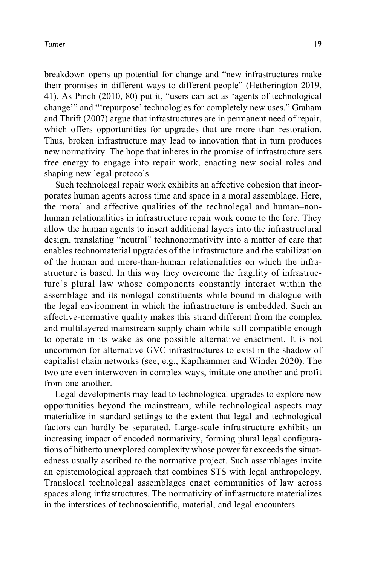breakdown opens up potential for change and "new infrastructures make their promises in different ways to different people" ([Hetherington 2019,](#page-21-0) 41). As [Pinch \(2010](#page-22-0), 80) put it, "users can act as 'agents of technological change'" and "'repurpose' technologies for completely new uses." [Graham](#page-21-0) [and Thrift \(2007\)](#page-21-0) argue that infrastructures are in permanent need of repair, which offers opportunities for upgrades that are more than restoration. Thus, broken infrastructure may lead to innovation that in turn produces new normativity. The hope that inheres in the promise of infrastructure sets free energy to engage into repair work, enacting new social roles and shaping new legal protocols.

Such technolegal repair work exhibits an affective cohesion that incorporates human agents across time and space in a moral assemblage. Here, the moral and affective qualities of the technolegal and human–nonhuman relationalities in infrastructure repair work come to the fore. They allow the human agents to insert additional layers into the infrastructural design, translating "neutral" technonormativity into a matter of care that enables technomaterial upgrades of the infrastructure and the stabilization of the human and more-than-human relationalities on which the infrastructure is based. In this way they overcome the fragility of infrastructure's plural law whose components constantly interact within the assemblage and its nonlegal constituents while bound in dialogue with the legal environment in which the infrastructure is embedded. Such an affective-normative quality makes this strand different from the complex and multilayered mainstream supply chain while still compatible enough to operate in its wake as one possible alternative enactment. It is not uncommon for alternative GVC infrastructures to exist in the shadow of capitalist chain networks (see, e.g., [Kapfhammer and Winder 2020](#page-21-0)). The two are even interwoven in complex ways, imitate one another and profit from one another.

Legal developments may lead to technological upgrades to explore new opportunities beyond the mainstream, while technological aspects may materialize in standard settings to the extent that legal and technological factors can hardly be separated. Large-scale infrastructure exhibits an increasing impact of encoded normativity, forming plural legal configurations of hitherto unexplored complexity whose power far exceeds the situatedness usually ascribed to the normative project. Such assemblages invite an epistemological approach that combines STS with legal anthropology. Translocal technolegal assemblages enact communities of law across spaces along infrastructures. The normativity of infrastructure materializes in the interstices of technoscientific, material, and legal encounters.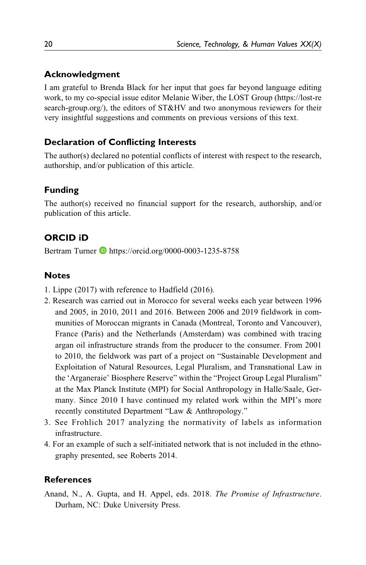### <span id="page-19-0"></span>**Acknowledgment**

I am grateful to Brenda Black for her input that goes far beyond language editing work, to my co-special issue editor Melanie Wiber, the LOST Group [\(https://lost-re](https://lost-research-group.org/) [search-group.org/](https://lost-research-group.org/)), the editors of ST&HV and two anonymous reviewers for their very insightful suggestions and comments on previous versions of this text.

# **Declaration of Conflicting Interests**

The author(s) declared no potential conflicts of interest with respect to the research, authorship, and/or publication of this article.

# **Funding**

The author(s) received no financial support for the research, authorship, and/or publication of this article.

# **ORCID iD**

Bertram Turner **b** <https://orcid.org/0000-0003-1235-8758>

# **Notes**

- 1. [Lippe \(2017\)](#page-22-0) with reference to [Hadfield \(2016\)](#page-21-0).
- 2. Research was carried out in Morocco for several weeks each year between 1996 and 2005, in 2010, 2011 and 2016. Between 2006 and 2019 fieldwork in communities of Moroccan migrants in Canada (Montreal, Toronto and Vancouver), France (Paris) and the Netherlands (Amsterdam) was combined with tracing argan oil infrastructure strands from the producer to the consumer. From 2001 to 2010, the fieldwork was part of a project on "Sustainable Development and Exploitation of Natural Resources, Legal Pluralism, and Transnational Law in the 'Arganeraie' Biosphere Reserve" within the "Project Group Legal Pluralism" at the Max Planck Institute (MPI) for Social Anthropology in Halle/Saale, Germany. Since 2010 I have continued my related work within the MPI's more recently constituted Department "Law & Anthropology."
- 3. See [Frohlich 2017](#page-21-0) analyzing the normativity of labels as information infrastructure.
- 4. For an example of such a self-initiated network that is not included in the ethnography presented, see Roberts 2014.

#### **References**

Anand, N., A. Gupta, and H. Appel, eds. 2018. The Promise of Infrastructure. Durham, NC: Duke University Press.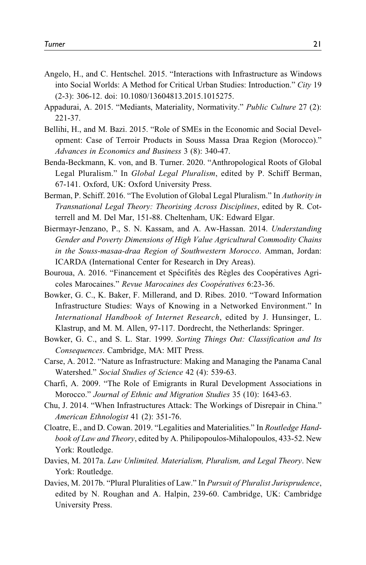- <span id="page-20-0"></span>Angelo, H., and C. Hentschel. 2015. "Interactions with Infrastructure as Windows into Social Worlds: A Method for Critical Urban Studies: Introduction." City 19 (2-3): 306-12. doi: 10.1080/13604813.2015.1015275.
- Appadurai, A. 2015. "Mediants, Materiality, Normativity." Public Culture 27 (2): 221-37.
- Bellihi, H., and M. Bazi. 2015. "Role of SMEs in the Economic and Social Development: Case of Terroir Products in Souss Massa Draa Region (Morocco)." Advances in Economics and Business 3 (8): 340-47.
- Benda-Beckmann, K. von, and B. Turner. 2020. "Anthropological Roots of Global Legal Pluralism." In Global Legal Pluralism, edited by P. Schiff Berman, 67-141. Oxford, UK: Oxford University Press.
- Berman, P. Schiff. 2016. "The Evolution of Global Legal Pluralism." In Authority in Transnational Legal Theory: Theorising Across Disciplines, edited by R. Cotterrell and M. Del Mar, 151-88. Cheltenham, UK: Edward Elgar.
- Biermayr-Jenzano, P., S. N. Kassam, and A. Aw-Hassan. 2014. Understanding Gender and Poverty Dimensions of High Value Agricultural Commodity Chains in the Souss-masaa-draa Region of Southwestern Morocco. Amman, Jordan: ICARDA (International Center for Research in Dry Areas).
- Bouroua, A. 2016. "Financement et Spécifités des Règles des Coopératives Agricoles Marocaines." Revue Marocaines des Coopératives 6:23-36.
- Bowker, G. C., K. Baker, F. Millerand, and D. Ribes. 2010. "Toward Information Infrastructure Studies: Ways of Knowing in a Networked Environment." In International Handbook of Internet Research, edited by J. Hunsinger, L. Klastrup, and M. M. Allen, 97-117. Dordrecht, the Netherlands: Springer.
- Bowker, G. C., and S. L. Star. 1999. Sorting Things Out: Classification and Its Consequences. Cambridge, MA: MIT Press.
- Carse, A. 2012. "Nature as Infrastructure: Making and Managing the Panama Canal Watershed." Social Studies of Science 42 (4): 539-63.
- Charfi, A. 2009. "The Role of Emigrants in Rural Development Associations in Morocco." Journal of Ethnic and Migration Studies 35 (10): 1643-63.
- Chu, J. 2014. "When Infrastructures Attack: The Workings of Disrepair in China." American Ethnologist 41 (2): 351-76.
- Cloatre, E., and D. Cowan. 2019. "Legalities and Materialities." In Routledge Handbook of Law and Theory, edited by A. Philipopoulos-Mihalopoulos, 433-52. New York: Routledge.
- Davies, M. 2017a. Law Unlimited. Materialism, Pluralism, and Legal Theory. New York: Routledge.
- Davies, M. 2017b. "Plural Pluralities of Law." In Pursuit of Pluralist Jurisprudence, edited by N. Roughan and A. Halpin, 239-60. Cambridge, UK: Cambridge University Press.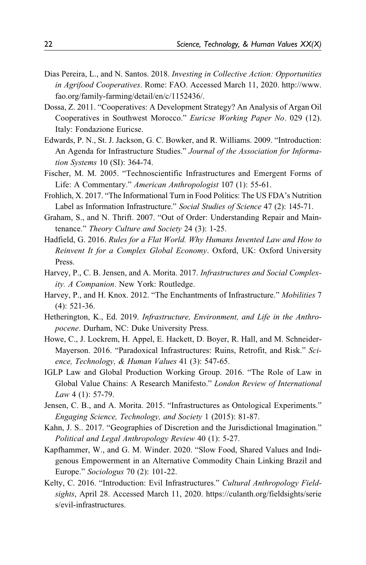- <span id="page-21-0"></span>Dias Pereira, L., and N. Santos. 2018. Investing in Collective Action: Opportunities in Agrifood Cooperatives. Rome: FAO. Accessed March 11, 2020. [http://www.](http://www.fao.org/family-farming/detail/en/c/1152436/) [fao.org/family-farming/detail/en/c/1152436/.](http://www.fao.org/family-farming/detail/en/c/1152436/)
- Dossa, Z. 2011. "Cooperatives: A Development Strategy? An Analysis of Argan Oil Cooperatives in Southwest Morocco." Euricse Working Paper No. 029 (12). Italy: Fondazione Euricse.
- Edwards, P. N., St. J. Jackson, G. C. Bowker, and R. Williams. 2009. "Introduction: An Agenda for Infrastructure Studies." Journal of the Association for Information Systems 10 (SI): 364-74.
- Fischer, M. M. 2005. "Technoscientific Infrastructures and Emergent Forms of Life: A Commentary." American Anthropologist 107 (1): 55-61.
- Frohlich, X. 2017. "The Informational Turn in Food Politics: The US FDA's Nutrition Label as Information Infrastructure." Social Studies of Science 47 (2): 145-71.
- Graham, S., and N. Thrift. 2007. "Out of Order: Understanding Repair and Maintenance." Theory Culture and Society 24 (3): 1-25.
- Hadfield, G. 2016. Rules for a Flat World. Why Humans Invented Law and How to Reinvent It for a Complex Global Economy. Oxford, UK: Oxford University Press.
- Harvey, P., C. B. Jensen, and A. Morita. 2017. Infrastructures and Social Complexity. A Companion. New York: Routledge.
- Harvey, P., and H. Knox. 2012. "The Enchantments of Infrastructure." Mobilities 7 (4): 521-36.
- Hetherington, K., Ed. 2019. Infrastructure, Environment, and Life in the Anthropocene. Durham, NC: Duke University Press.
- Howe, C., J. Lockrem, H. Appel, E. Hackett, D. Boyer, R. Hall, and M. Schneider-Mayerson. 2016. "Paradoxical Infrastructures: Ruins, Retrofit, and Risk." Science, Technology, & Human Values 41 (3): 547-65.
- IGLP Law and Global Production Working Group. 2016. "The Role of Law in Global Value Chains: A Research Manifesto." London Review of International Law 4 (1): 57-79.
- Jensen, C. B., and A. Morita. 2015. "Infrastructures as Ontological Experiments." Engaging Science, Technology, and Society 1 (2015): 81-87.
- Kahn, J. S.. 2017. "Geographies of Discretion and the Jurisdictional Imagination." Political and Legal Anthropology Review 40 (1): 5-27.
- Kapfhammer, W., and G. M. Winder. 2020. "Slow Food, Shared Values and Indigenous Empowerment in an Alternative Commodity Chain Linking Brazil and Europe." Sociologus 70 (2): 101-22.
- Kelty, C. 2016. "Introduction: Evil Infrastructures." Cultural Anthropology Fieldsights, April 28. Accessed March 11, 2020. [https://culanth.org/fieldsights/serie](https://culanth.org/fieldsights/series/evil-infrastructures) [s/evil-infrastructures](https://culanth.org/fieldsights/series/evil-infrastructures).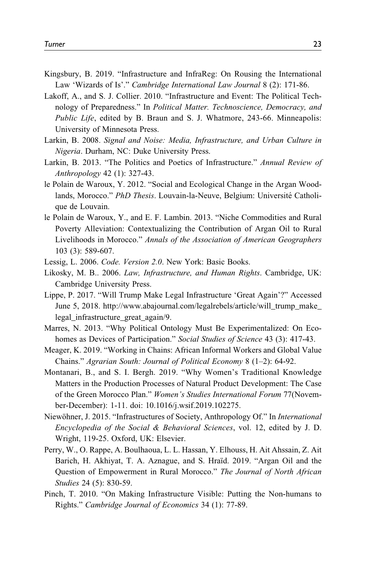- <span id="page-22-0"></span>Kingsbury, B. 2019. "Infrastructure and InfraReg: On Rousing the International Law 'Wizards of Is'." Cambridge International Law Journal 8 (2): 171-86.
- Lakoff, A., and S. J. Collier. 2010. "Infrastructure and Event: The Political Technology of Preparedness." In Political Matter. Technoscience, Democracy, and Public Life, edited by B. Braun and S. J. Whatmore, 243-66. Minneapolis: University of Minnesota Press.
- Larkin, B. 2008. Signal and Noise: Media, Infrastructure, and Urban Culture in Nigeria. Durham, NC: Duke University Press.
- Larkin, B. 2013. "The Politics and Poetics of Infrastructure." Annual Review of Anthropology 42 (1): 327-43.
- le Polain de Waroux, Y. 2012. "Social and Ecological Change in the Argan Woodlands, Morocco." PhD Thesis. Louvain-la-Neuve, Belgium: Université Catholique de Louvain.
- le Polain de Waroux, Y., and E. F. Lambin. 2013. "Niche Commodities and Rural Poverty Alleviation: Contextualizing the Contribution of Argan Oil to Rural Livelihoods in Morocco." Annals of the Association of American Geographers 103 (3): 589-607.
- Lessig, L. 2006. Code. Version 2.0. New York: Basic Books.
- Likosky, M. B.. 2006. Law, Infrastructure, and Human Rights. Cambridge, UK: Cambridge University Press.
- Lippe, P. 2017. "Will Trump Make Legal Infrastructure 'Great Again'?" Accessed June 5, 2018. [http://www.abajournal.com/legalrebels/article/will\\_trump\\_make\\_](http://www.abajournal.com/legalrebels/article/will_trump_make_legal_infrastructure_great_again/9) [legal\\_infrastructure\\_great\\_again/9.](http://www.abajournal.com/legalrebels/article/will_trump_make_legal_infrastructure_great_again/9)
- Marres, N. 2013. "Why Political Ontology Must Be Experimentalized: On Ecohomes as Devices of Participation." Social Studies of Science 43 (3): 417-43.
- Meager, K. 2019. "Working in Chains: African Informal Workers and Global Value Chains." Agrarian South: Journal of Political Economy 8 (1–2): 64-92.
- Montanari, B., and S. I. Bergh. 2019. "Why Women's Traditional Knowledge Matters in the Production Processes of Natural Product Development: The Case of the Green Morocco Plan." Women's Studies International Forum 77(November-December): 1-11. doi: 10.1016/j.wsif.2019.102275.
- Niewöhner, J. 2015. "Infrastructures of Society, Anthropology Of." In *International* Encyclopedia of the Social & Behavioral Sciences, vol. 12, edited by J. D. Wright, 119-25. Oxford, UK: Elsevier.
- Perry, W., O. Rappe, A. Boulhaoua, L. L. Hassan, Y. Elhouss, H. Ait Ahssain, Z. Ait Barich, H. Akhiyat, T. A. Aznague, and S. Hraïd. 2019. "Argan Oil and the Question of Empowerment in Rural Morocco." The Journal of North African Studies 24 (5): 830-59.
- Pinch, T. 2010. "On Making Infrastructure Visible: Putting the Non-humans to Rights." Cambridge Journal of Economics 34 (1): 77-89.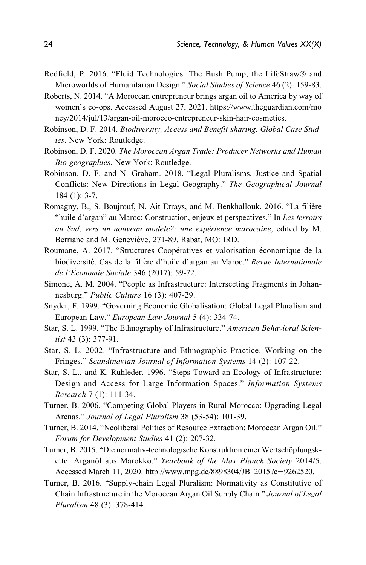- <span id="page-23-0"></span>Redfield, P. 2016. "Fluid Technologies: The Bush Pump, the LifeStraw® and Microworlds of Humanitarian Design." Social Studies of Science 46 (2): 159-83.
- Roberts, N. 2014. "A Moroccan entrepreneur brings argan oil to America by way of women's co-ops. Accessed August 27, 2021. [https://www.theguardian.com/mo](https://www.theguardian.com/money/2014/jul/13/argan-oil-morocco-entrepreneur-skin-hair-cosmetics) [ney/2014/jul/13/argan-oil-morocco-entrepreneur-skin-hair-cosmetics.](https://www.theguardian.com/money/2014/jul/13/argan-oil-morocco-entrepreneur-skin-hair-cosmetics)
- Robinson, D. F. 2014. Biodiversity, Access and Benefit-sharing. Global Case Studies. New York: Routledge.
- Robinson, D. F. 2020. The Moroccan Argan Trade: Producer Networks and Human Bio-geographies. New York: Routledge.
- Robinson, D. F. and N. Graham. 2018. "Legal Pluralisms, Justice and Spatial Conflicts: New Directions in Legal Geography." The Geographical Journal 184 (1): 3-7.
- Romagny, B., S. Boujrouf, N. Ait Errays, and M. Benkhallouk. 2016. "La filière "huile d'argan" au Maroc: Construction, enjeux et perspectives." In Les terroirs au Sud, vers un nouveau modèle?: une expérience marocaine, edited by M. Berriane and M. Geneviève, 271-89. Rabat, MO: IRD.
- Roumane, A. 2017. "Structures Coopératives et valorisation économique de la biodiversité. Cas de la filière d'huile d'argan au Maroc." Revue Internationale de l'Économie Sociale 346 (2017): 59-72.
- Simone, A. M. 2004. "People as Infrastructure: Intersecting Fragments in Johannesburg." Public Culture 16 (3): 407-29.
- Snyder, F. 1999. "Governing Economic Globalisation: Global Legal Pluralism and European Law." European Law Journal 5 (4): 334-74.
- Star, S. L. 1999. "The Ethnography of Infrastructure." American Behavioral Scientist 43 (3): 377-91.
- Star, S. L. 2002. "Infrastructure and Ethnographic Practice. Working on the Fringes." Scandinavian Journal of Information Systems 14 (2): 107-22.
- Star, S. L., and K. Ruhleder. 1996. "Steps Toward an Ecology of Infrastructure: Design and Access for Large Information Spaces." Information Systems Research 7 (1): 111-34.
- Turner, B. 2006. "Competing Global Players in Rural Morocco: Upgrading Legal Arenas." Journal of Legal Pluralism 38 (53-54): 101-39.
- Turner, B. 2014. "Neoliberal Politics of Resource Extraction: Moroccan Argan Oil." Forum for Development Studies 41 (2): 207-32.
- Turner, B. 2015. "Die normativ-technologische Konstruktion einer Wertschöpfungskette: Arganöl aus Marokko." Yearbook of the Max Planck Society 2014/5. Accessed March 11, 2020. [http://www.mpg.de/8898304/JB\\_2015?c](http://www.mpg.de/8898304/JB_2015?c=9262520)=[9262520](http://www.mpg.de/8898304/JB_2015?c=9262520).
- Turner, B. 2016. "Supply-chain Legal Pluralism: Normativity as Constitutive of Chain Infrastructure in the Moroccan Argan Oil Supply Chain." Journal of Legal Pluralism 48 (3): 378-414.